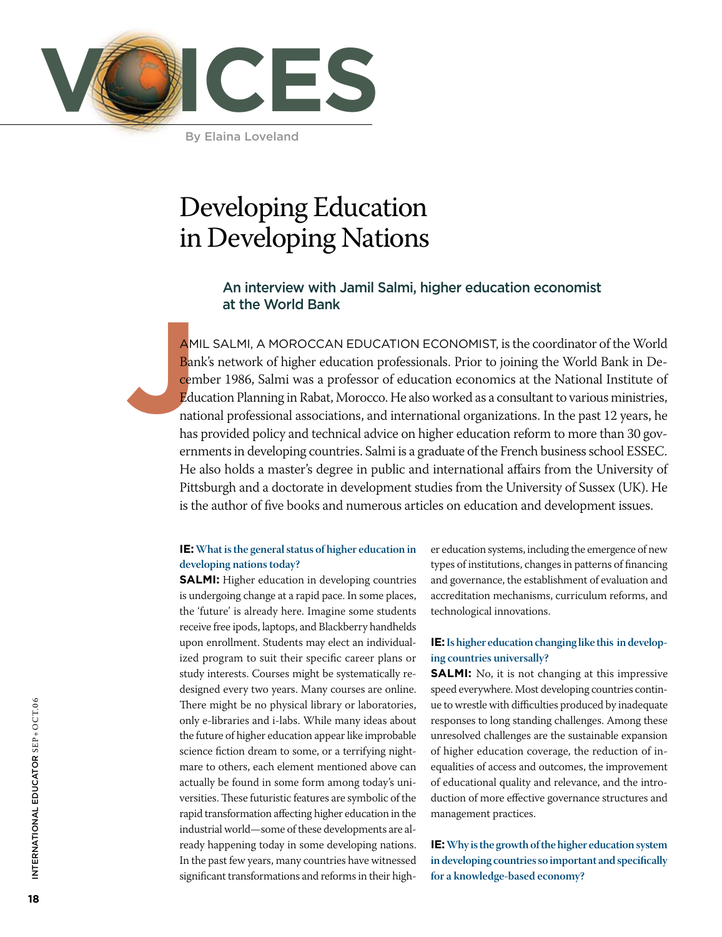

By Elaina Loveland

## Developing Education in Developing Nations

### An interview with Jamil Salmi, higher education economist at the World Bank

**J** AMIL SALMI, A MOROCCAN EDUCATION ECONOMIST, is the coordinator of the World Bank's network of higher education professionals. Prior to joining the World Bank in December 1986, Salmi was a professor of education economics at the National Institute of Education Planning in Rabat, Morocco. He also worked as a consultant to various ministries, national professional associations, and international organizations. In the past 12 years, he has provided policy and technical advice on higher education reform to more than 30 governments in developing countries. Salmi is a graduate of the French business school ESSEC. He also holds a master's degree in public and international affairs from the University of Pittsburgh and a doctorate in development studies from the University of Sussex (UK). He is the author of five books and numerous articles on education and development issues.

#### **IE: What is the general status of higher education in developing nations today?**

**SALMI:** Higher education in developing countries is undergoing change at a rapid pace. In some places, the 'future' is already here. Imagine some students receive free ipods, laptops, and Blackberry handhelds upon enrollment. Students may elect an individualized program to suit their specific career plans or study interests. Courses might be systematically redesigned every two years. Many courses are online. There might be no physical library or laboratories, only e-libraries and i-labs. While many ideas about the future of higher education appear like improbable science fiction dream to some, or a terrifying nightmare to others, each element mentioned above can actually be found in some form among today's universities. These futuristic features are symbolic of the rapid transformation affecting higher education in the industrial world—some of these developments are already happening today in some developing nations. In the past few years, many countries have witnessed significant transformations and reforms in their higher education systems, including the emergence of new types of institutions, changes in patterns of financing and governance, the establishment of evaluation and accreditation mechanisms, curriculum reforms, and technological innovations.

#### **IE: Is higher education changing like this in developing countries universally?**

**SALMI:** No, it is not changing at this impressive speed everywhere. Most developing countries continue to wrestle with difficulties produced by inadequate responses to long standing challenges. Among these unresolved challenges are the sustainable expansion of higher education coverage, the reduction of inequalities of access and outcomes, the improvement of educational quality and relevance, and the introduction of more effective governance structures and management practices.

**IE: Why is the growth of the higher education system in developing countries so important and specifically for a knowledge-based economy?**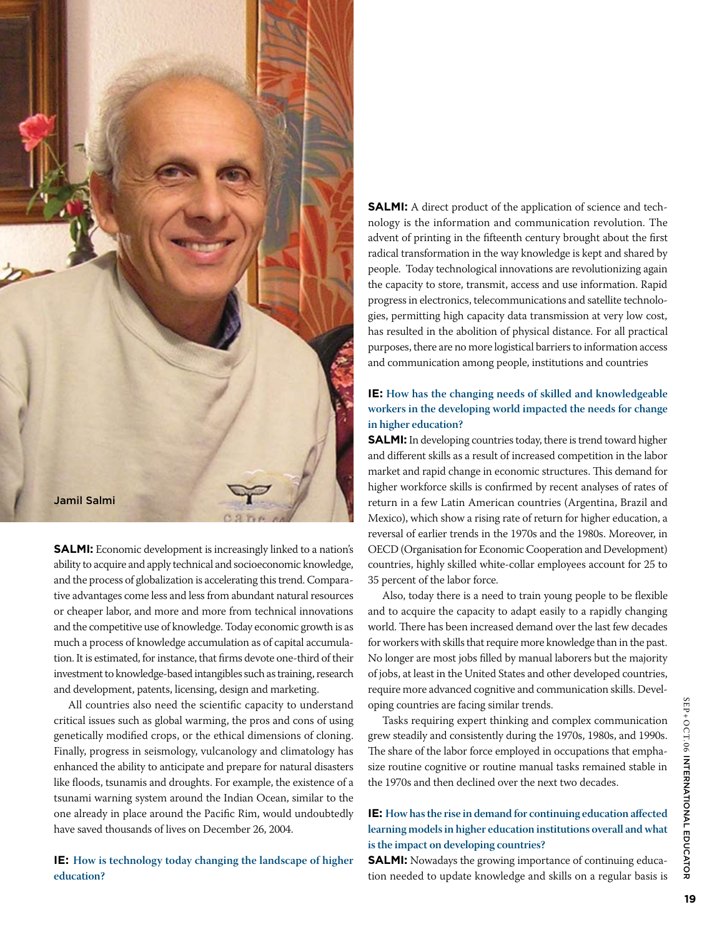

**SALMI:** Economic development is increasingly linked to a nation's ability to acquire and apply technical and socioeconomic knowledge, and the process of globalization is accelerating this trend. Comparative advantages come less and less from abundant natural resources or cheaper labor, and more and more from technical innovations and the competitive use of knowledge. Today economic growth is as much a process of knowledge accumulation as of capital accumulation. It is estimated, for instance, that firms devote one-third of their investment to knowledge-based intangibles such as training, research and development, patents, licensing, design and marketing.

All countries also need the scientific capacity to understand critical issues such as global warming, the pros and cons of using genetically modified crops, or the ethical dimensions of cloning. Finally, progress in seismology, vulcanology and climatology has enhanced the ability to anticipate and prepare for natural disasters like floods, tsunamis and droughts. For example, the existence of a tsunami warning system around the Indian Ocean, similar to the one already in place around the Pacific Rim, would undoubtedly have saved thousands of lives on December 26, 2004.

**IE: How is technology today changing the landscape of higher education?**

**SALMI:** A direct product of the application of science and technology is the information and communication revolution. The advent of printing in the fifteenth century brought about the first radical transformation in the way knowledge is kept and shared by people. Today technological innovations are revolutionizing again the capacity to store, transmit, access and use information. Rapid progress in electronics, telecommunications and satellite technologies, permitting high capacity data transmission at very low cost, has resulted in the abolition of physical distance. For all practical purposes, there are no more logistical barriers to information access and communication among people, institutions and countries

#### **IE: How has the changing needs of skilled and knowledgeable workers in the developing world impacted the needs for change in higher education?**

**SALMI:** In developing countries today, there is trend toward higher and different skills as a result of increased competition in the labor market and rapid change in economic structures. This demand for higher workforce skills is confirmed by recent analyses of rates of return in a few Latin American countries (Argentina, Brazil and Mexico), which show a rising rate of return for higher education, a reversal of earlier trends in the 1970s and the 1980s. Moreover, in OECD (Organisation for Economic Cooperation and Development) countries, highly skilled white-collar employees account for 25 to 35 percent of the labor force.

Also, today there is a need to train young people to be flexible and to acquire the capacity to adapt easily to a rapidly changing world. There has been increased demand over the last few decades for workers with skills that require more knowledge than in the past. No longer are most jobs filled by manual laborers but the majority of jobs, at least in the United States and other developed countries, require more advanced cognitive and communication skills. Developing countries are facing similar trends.

Tasks requiring expert thinking and complex communication grew steadily and consistently during the 1970s, 1980s, and 1990s. The share of the labor force employed in occupations that emphasize routine cognitive or routine manual tasks remained stable in the 1970s and then declined over the next two decades.

#### **IE: How has the rise in demand for continuing education affected learning models in higher education institutions overall and what is the impact on developing countries?**

**SALMI:** Nowadays the growing importance of continuing education needed to update knowledge and skills on a regular basis is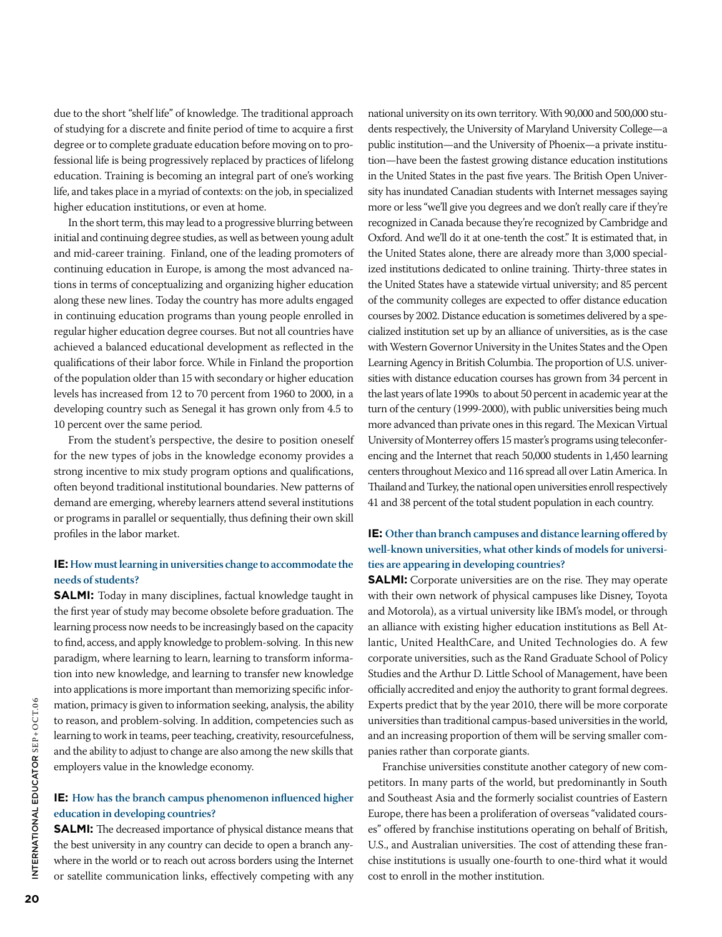due to the short "shelf life" of knowledge. The traditional approach of studying for a discrete and finite period of time to acquire a first degree or to complete graduate education before moving on to professional life is being progressively replaced by practices of lifelong education. Training is becoming an integral part of one's working life, and takes place in a myriad of contexts: on the job, in specialized higher education institutions, or even at home.

In the short term, this may lead to a progressive blurring between initial and continuing degree studies, as well as between young adult and mid-career training. Finland, one of the leading promoters of continuing education in Europe, is among the most advanced nations in terms of conceptualizing and organizing higher education along these new lines. Today the country has more adults engaged in continuing education programs than young people enrolled in regular higher education degree courses. But not all countries have achieved a balanced educational development as reflected in the qualifications of their labor force. While in Finland the proportion of the population older than 15 with secondary or higher education levels has increased from 12 to 70 percent from 1960 to 2000, in a developing country such as Senegal it has grown only from 4.5 to 10 percent over the same period.

From the student's perspective, the desire to position oneself for the new types of jobs in the knowledge economy provides a strong incentive to mix study program options and qualifications, often beyond traditional institutional boundaries. New patterns of demand are emerging, whereby learners attend several institutions or programs in parallel or sequentially, thus defining their own skill profiles in the labor market.

#### **IE: How must learning in universities change to accommodate the needs of students?**

**SALMI:** Today in many disciplines, factual knowledge taught in the first year of study may become obsolete before graduation. The learning process now needs to be increasingly based on the capacity to find, access, and apply knowledge to problem-solving. In this new paradigm, where learning to learn, learning to transform information into new knowledge, and learning to transfer new knowledge into applications is more important than memorizing specific information, primacy is given to information seeking, analysis, the ability to reason, and problem-solving. In addition, competencies such as learning to work in teams, peer teaching, creativity, resourcefulness, and the ability to adjust to change are also among the new skills that employers value in the knowledge economy.

#### **IE: How has the branch campus phenomenon influenced higher education in developing countries?**

**SALMI:** The decreased importance of physical distance means that the best university in any country can decide to open a branch anywhere in the world or to reach out across borders using the Internet or satellite communication links, effectively competing with any

national university on its own territory. With 90,000 and 500,000 students respectively, the University of Maryland University College—a public institution—and the University of Phoenix—a private institution—have been the fastest growing distance education institutions in the United States in the past five years. The British Open University has inundated Canadian students with Internet messages saying more or less "we'll give you degrees and we don't really care if they're recognized in Canada because they're recognized by Cambridge and Oxford. And we'll do it at one-tenth the cost." It is estimated that, in the United States alone, there are already more than 3,000 specialized institutions dedicated to online training. Thirty-three states in the United States have a statewide virtual university; and 85 percent of the community colleges are expected to offer distance education courses by 2002. Distance education is sometimes delivered by a specialized institution set up by an alliance of universities, as is the case with Western Governor University in the Unites States and the Open Learning Agency in British Columbia. The proportion of U.S. universities with distance education courses has grown from 34 percent in the last years of late 1990s to about 50 percent in academic year at the turn of the century (1999-2000), with public universities being much more advanced than private ones in this regard. The Mexican Virtual University of Monterrey offers 15 master's programs using teleconferencing and the Internet that reach 50,000 students in 1,450 learning centers throughout Mexico and 116 spread all over Latin America. In Thailand and Turkey, the national open universities enroll respectively 41 and 38 percent of the total student population in each country.

#### **IE: Other than branch campuses and distance learning offered by well-known universities, what other kinds of models for universities are appearing in developing countries?**

**SALMI:** Corporate universities are on the rise. They may operate with their own network of physical campuses like Disney, Toyota and Motorola), as a virtual university like IBM's model, or through an alliance with existing higher education institutions as Bell Atlantic, United HealthCare, and United Technologies do. A few corporate universities, such as the Rand Graduate School of Policy Studies and the Arthur D. Little School of Management, have been officially accredited and enjoy the authority to grant formal degrees. Experts predict that by the year 2010, there will be more corporate universities than traditional campus-based universities in the world, and an increasing proportion of them will be serving smaller companies rather than corporate giants.

Franchise universities constitute another category of new competitors. In many parts of the world, but predominantly in South and Southeast Asia and the formerly socialist countries of Eastern Europe, there has been a proliferation of overseas "validated courses" offered by franchise institutions operating on behalf of British, U.S., and Australian universities. The cost of attending these franchise institutions is usually one-fourth to one-third what it would cost to enroll in the mother institution.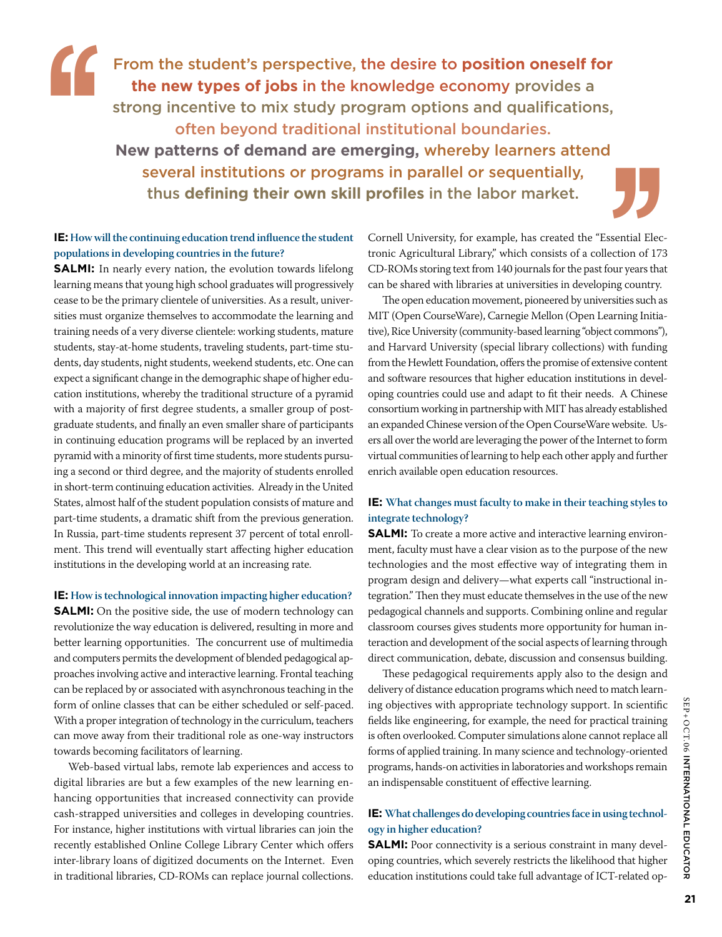From the student's perspective, the desire to **position oneself for the new types of jobs** in the knowledge economy provides a strong incentive to mix study program options and qualifications, often beyond traditional institutional boundaries. **New patterns of demand are emerging,** whereby learners attend several institutions or programs in parallel or sequentially, thus **defining their own skill profiles** in the labor market. **''**

#### **IE: How will the continuing education trend influence the student populations in developing countries in the future?**

**SALMI:** In nearly every nation, the evolution towards lifelong learning means that young high school graduates will progressively cease to be the primary clientele of universities. As a result, universities must organize themselves to accommodate the learning and training needs of a very diverse clientele: working students, mature students, stay-at-home students, traveling students, part-time students, day students, night students, weekend students, etc. One can expect a significant change in the demographic shape of higher education institutions, whereby the traditional structure of a pyramid with a majority of first degree students, a smaller group of postgraduate students, and finally an even smaller share of participants in continuing education programs will be replaced by an inverted pyramid with a minority of first time students, more students pursuing a second or third degree, and the majority of students enrolled in short-term continuing education activities. Already in the United States, almost half of the student population consists of mature and part-time students, a dramatic shift from the previous generation. In Russia, part-time students represent 37 percent of total enrollment. This trend will eventually start affecting higher education institutions in the developing world at an increasing rate.

**IE: How is technological innovation impacting higher education? SALMI:** On the positive side, the use of modern technology can revolutionize the way education is delivered, resulting in more and better learning opportunities. The concurrent use of multimedia and computers permits the development of blended pedagogical approaches involving active and interactive learning. Frontal teaching can be replaced by or associated with asynchronous teaching in the form of online classes that can be either scheduled or self-paced. With a proper integration of technology in the curriculum, teachers can move away from their traditional role as one-way instructors towards becoming facilitators of learning.

Web-based virtual labs, remote lab experiences and access to digital libraries are but a few examples of the new learning enhancing opportunities that increased connectivity can provide cash-strapped universities and colleges in developing countries. For instance, higher institutions with virtual libraries can join the recently established Online College Library Center which offers inter-library loans of digitized documents on the Internet. Even in traditional libraries, CD-ROMs can replace journal collections.

Cornell University, for example, has created the "Essential Electronic Agricultural Library," which consists of a collection of 173 CD-ROMs storing text from 140 journals for the past four years that can be shared with libraries at universities in developing country. **Example 18**<br>sential Election of 173<br>our years that<br>ring country.

The open education movement, pioneered by universities such as MIT (Open CourseWare), Carnegie Mellon (Open Learning Initiative), Rice University (community-based learning "object commons"), and Harvard University (special library collections) with funding from the Hewlett Foundation, offers the promise of extensive content and software resources that higher education institutions in developing countries could use and adapt to fit their needs. A Chinese consortium working in partnership with MIT has already established an expanded Chinese version of the Open CourseWare website. Users all over the world are leveraging the power of the Internet to form virtual communities of learning to help each other apply and further enrich available open education resources.

#### **IE: What changes must faculty to make in their teaching styles to integrate technology?**

**SALMI:** To create a more active and interactive learning environment, faculty must have a clear vision as to the purpose of the new technologies and the most effective way of integrating them in program design and delivery—what experts call "instructional integration." Then they must educate themselves in the use of the new pedagogical channels and supports. Combining online and regular classroom courses gives students more opportunity for human interaction and development of the social aspects of learning through direct communication, debate, discussion and consensus building.

These pedagogical requirements apply also to the design and delivery of distance education programs which need to match learning objectives with appropriate technology support. In scientific fields like engineering, for example, the need for practical training is often overlooked. Computer simulations alone cannot replace all forms of applied training. In many science and technology-oriented programs, hands-on activities in laboratories and workshops remain an indispensable constituent of effective learning.

#### **IE: What challenges do developing countries face in using technology in higher education?**

**SALMI:** Poor connectivity is a serious constraint in many developing countries, which severely restricts the likelihood that higher education institutions could take full advantage of ICT-related op-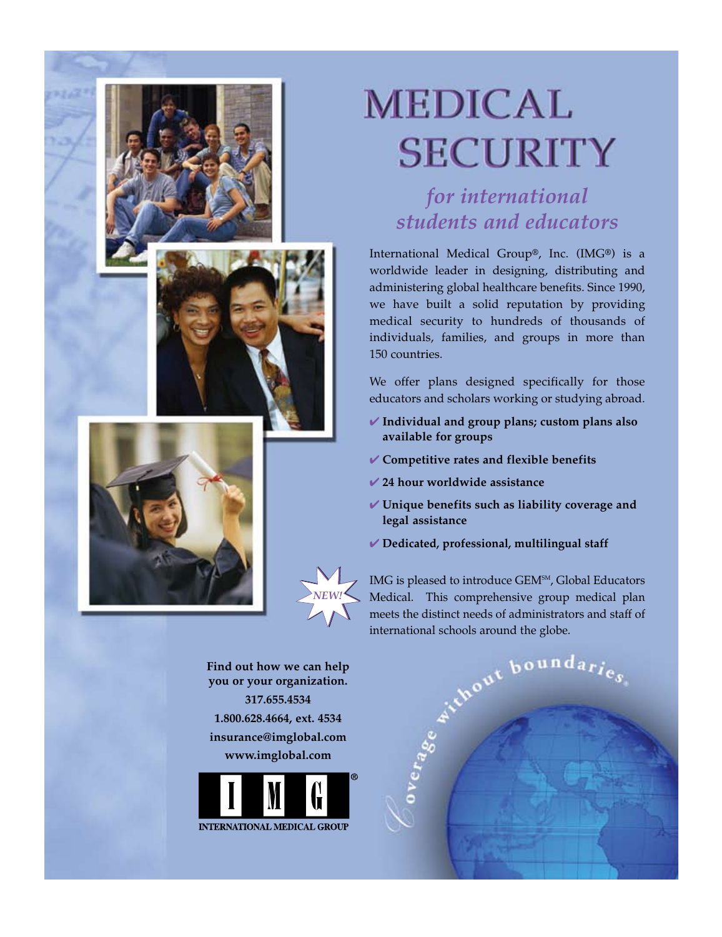



# **MEDICAL SECURITY**

for international students and educators

International Medical Group®, Inc. (IMG®) is a worldwide leader in designing, distributing and administering global healthcare benefits. Since 1990, we have built a solid reputation by providing medical security to hundreds of thousands of individuals, families, and groups in more than 150 countries

We offer plans designed specifically for those educators and scholars working or studying abroad.

- $\checkmark$  Individual and group plans; custom plans also available for groups
- ✔ Competitive rates and flexible benefits
- $\vee$  24 hour worldwide assistance
- ✔ Unique benefits such as liability coverage and legal assistance
- Dedicated, professional, multilingual staff



Find out how we can help you or your organization. 317.655.4534 1.800.628.4664, ext. 4534 insurance@imglobal.com www.imglobal.com



media of the point boundaries